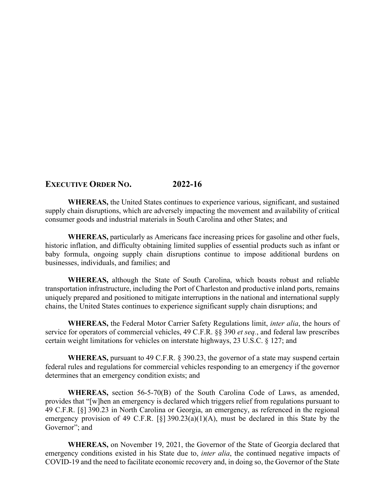## **EXECUTIVE ORDER NO. 2022-16**

**WHEREAS,** the United States continues to experience various, significant, and sustained supply chain disruptions, which are adversely impacting the movement and availability of critical consumer goods and industrial materials in South Carolina and other States; and

**WHEREAS,** particularly as Americans face increasing prices for gasoline and other fuels, historic inflation, and difficulty obtaining limited supplies of essential products such as infant or baby formula, ongoing supply chain disruptions continue to impose additional burdens on businesses, individuals, and families; and

**WHEREAS,** although the State of South Carolina, which boasts robust and reliable transportation infrastructure, including the Port of Charleston and productive inland ports, remains uniquely prepared and positioned to mitigate interruptions in the national and international supply chains, the United States continues to experience significant supply chain disruptions; and

**WHEREAS,** the Federal Motor Carrier Safety Regulations limit, *inter alia*, the hours of service for operators of commercial vehicles, 49 C.F.R. §§ 390 *et seq.*, and federal law prescribes certain weight limitations for vehicles on interstate highways, 23 U.S.C. § 127; and

**WHEREAS,** pursuant to 49 C.F.R. § 390.23, the governor of a state may suspend certain federal rules and regulations for commercial vehicles responding to an emergency if the governor determines that an emergency condition exists; and

**WHEREAS,** section 56-5-70(B) of the South Carolina Code of Laws, as amended, provides that "[w]hen an emergency is declared which triggers relief from regulations pursuant to 49 C.F.R. [§] 390.23 in North Carolina or Georgia, an emergency, as referenced in the regional emergency provision of 49 C.F.R.  $[\S]$  390.23(a)(1)(A), must be declared in this State by the Governor"; and

**WHEREAS,** on November 19, 2021, the Governor of the State of Georgia declared that emergency conditions existed in his State due to, *inter alia*, the continued negative impacts of COVID-19 and the need to facilitate economic recovery and, in doing so, the Governor of the State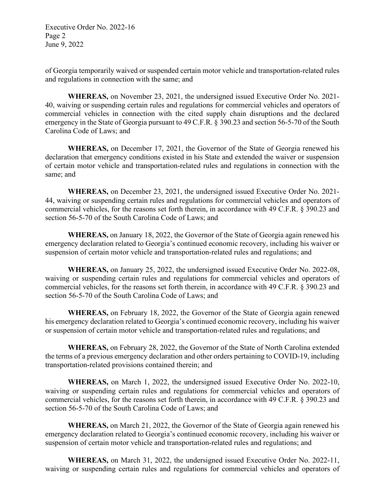Executive Order No. 2022-16 Page 2 June 9, 2022

of Georgia temporarily waived or suspended certain motor vehicle and transportation-related rules and regulations in connection with the same; and

**WHEREAS,** on November 23, 2021, the undersigned issued Executive Order No. 2021- 40, waiving or suspending certain rules and regulations for commercial vehicles and operators of commercial vehicles in connection with the cited supply chain disruptions and the declared emergency in the State of Georgia pursuant to 49 C.F.R. § 390.23 and section 56-5-70 of the South Carolina Code of Laws; and

**WHEREAS,** on December 17, 2021, the Governor of the State of Georgia renewed his declaration that emergency conditions existed in his State and extended the waiver or suspension of certain motor vehicle and transportation-related rules and regulations in connection with the same; and

**WHEREAS,** on December 23, 2021, the undersigned issued Executive Order No. 2021- 44, waiving or suspending certain rules and regulations for commercial vehicles and operators of commercial vehicles, for the reasons set forth therein, in accordance with 49 C.F.R. § 390.23 and section 56-5-70 of the South Carolina Code of Laws; and

**WHEREAS,** on January 18, 2022, the Governor of the State of Georgia again renewed his emergency declaration related to Georgia's continued economic recovery, including his waiver or suspension of certain motor vehicle and transportation-related rules and regulations; and

**WHEREAS,** on January 25, 2022, the undersigned issued Executive Order No. 2022-08, waiving or suspending certain rules and regulations for commercial vehicles and operators of commercial vehicles, for the reasons set forth therein, in accordance with 49 C.F.R. § 390.23 and section 56-5-70 of the South Carolina Code of Laws; and

**WHEREAS,** on February 18, 2022, the Governor of the State of Georgia again renewed his emergency declaration related to Georgia's continued economic recovery, including his waiver or suspension of certain motor vehicle and transportation-related rules and regulations; and

**WHEREAS,** on February 28, 2022, the Governor of the State of North Carolina extended the terms of a previous emergency declaration and other orders pertaining to COVID-19, including transportation-related provisions contained therein; and

**WHEREAS,** on March 1, 2022, the undersigned issued Executive Order No. 2022-10, waiving or suspending certain rules and regulations for commercial vehicles and operators of commercial vehicles, for the reasons set forth therein, in accordance with 49 C.F.R. § 390.23 and section 56-5-70 of the South Carolina Code of Laws; and

**WHEREAS,** on March 21, 2022, the Governor of the State of Georgia again renewed his emergency declaration related to Georgia's continued economic recovery, including his waiver or suspension of certain motor vehicle and transportation-related rules and regulations; and

**WHEREAS,** on March 31, 2022, the undersigned issued Executive Order No. 2022-11, waiving or suspending certain rules and regulations for commercial vehicles and operators of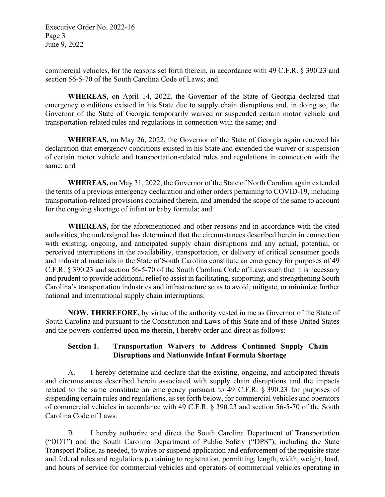Executive Order No. 2022-16 Page 3 June 9, 2022

commercial vehicles, for the reasons set forth therein, in accordance with 49 C.F.R. § 390.23 and section 56-5-70 of the South Carolina Code of Laws; and

**WHEREAS,** on April 14, 2022, the Governor of the State of Georgia declared that emergency conditions existed in his State due to supply chain disruptions and, in doing so, the Governor of the State of Georgia temporarily waived or suspended certain motor vehicle and transportation-related rules and regulations in connection with the same; and

**WHEREAS,** on May 26, 2022, the Governor of the State of Georgia again renewed his declaration that emergency conditions existed in his State and extended the waiver or suspension of certain motor vehicle and transportation-related rules and regulations in connection with the same; and

**WHEREAS,** on May 31, 2022, the Governor of the State of North Carolina again extended the terms of a previous emergency declaration and other orders pertaining to COVID-19, including transportation-related provisions contained therein, and amended the scope of the same to account for the ongoing shortage of infant or baby formula; and

**WHEREAS,** for the aforementioned and other reasons and in accordance with the cited authorities, the undersigned has determined that the circumstances described herein in connection with existing, ongoing, and anticipated supply chain disruptions and any actual, potential, or perceived interruptions in the availability, transportation, or delivery of critical consumer goods and industrial materials in the State of South Carolina constitute an emergency for purposes of 49 C.F.R. § 390.23 and section 56-5-70 of the South Carolina Code of Laws such that it is necessary and prudent to provide additional relief to assist in facilitating, supporting, and strengthening South Carolina's transportation industries and infrastructure so as to avoid, mitigate, or minimize further national and international supply chain interruptions.

**NOW, THEREFORE,** by virtue of the authority vested in me as Governor of the State of South Carolina and pursuant to the Constitution and Laws of this State and of these United States and the powers conferred upon me therein, I hereby order and direct as follows:

## **Section 1. Transportation Waivers to Address Continued Supply Chain Disruptions and Nationwide Infant Formula Shortage**

A. I hereby determine and declare that the existing, ongoing, and anticipated threats and circumstances described herein associated with supply chain disruptions and the impacts related to the same constitute an emergency pursuant to 49 C.F.R. § 390.23 for purposes of suspending certain rules and regulations, as set forth below, for commercial vehicles and operators of commercial vehicles in accordance with 49 C.F.R. § 390.23 and section 56-5-70 of the South Carolina Code of Laws.

B. I hereby authorize and direct the South Carolina Department of Transportation ("DOT") and the South Carolina Department of Public Safety ("DPS"), including the State Transport Police, as needed, to waive or suspend application and enforcement of the requisite state and federal rules and regulations pertaining to registration, permitting, length, width, weight, load, and hours of service for commercial vehicles and operators of commercial vehicles operating in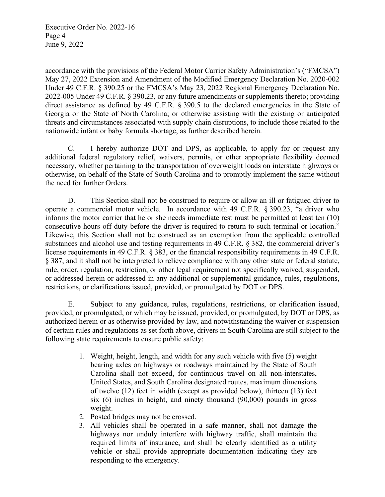Executive Order No. 2022-16 Page 4 June 9, 2022

accordance with the provisions of the Federal Motor Carrier Safety Administration's ("FMCSA") May 27, 2022 Extension and Amendment of the Modified Emergency Declaration No. 2020-002 Under 49 C.F.R. § 390.25 or the FMCSA's May 23, 2022 Regional Emergency Declaration No. 2022-005 Under 49 C.F.R. § 390.23, or any future amendments or supplements thereto; providing direct assistance as defined by 49 C.F.R. § 390.5 to the declared emergencies in the State of Georgia or the State of North Carolina; or otherwise assisting with the existing or anticipated threats and circumstances associated with supply chain disruptions, to include those related to the nationwide infant or baby formula shortage, as further described herein.

C. I hereby authorize DOT and DPS, as applicable, to apply for or request any additional federal regulatory relief, waivers, permits, or other appropriate flexibility deemed necessary, whether pertaining to the transportation of overweight loads on interstate highways or otherwise, on behalf of the State of South Carolina and to promptly implement the same without the need for further Orders.

D. This Section shall not be construed to require or allow an ill or fatigued driver to operate a commercial motor vehicle. In accordance with 49 C.F.R. § 390.23, "a driver who informs the motor carrier that he or she needs immediate rest must be permitted at least ten (10) consecutive hours off duty before the driver is required to return to such terminal or location." Likewise, this Section shall not be construed as an exemption from the applicable controlled substances and alcohol use and testing requirements in 49 C.F.R. § 382, the commercial driver's license requirements in 49 C.F.R. § 383, or the financial responsibility requirements in 49 C.F.R. § 387, and it shall not be interpreted to relieve compliance with any other state or federal statute, rule, order, regulation, restriction, or other legal requirement not specifically waived, suspended, or addressed herein or addressed in any additional or supplemental guidance, rules, regulations, restrictions, or clarifications issued, provided, or promulgated by DOT or DPS.

E. Subject to any guidance, rules, regulations, restrictions, or clarification issued, provided, or promulgated, or which may be issued, provided, or promulgated, by DOT or DPS, as authorized herein or as otherwise provided by law, and notwithstanding the waiver or suspension of certain rules and regulations as set forth above, drivers in South Carolina are still subject to the following state requirements to ensure public safety:

- 1. Weight, height, length, and width for any such vehicle with five (5) weight bearing axles on highways or roadways maintained by the State of South Carolina shall not exceed, for continuous travel on all non-interstates, United States, and South Carolina designated routes, maximum dimensions of twelve (12) feet in width (except as provided below), thirteen (13) feet six (6) inches in height, and ninety thousand (90,000) pounds in gross weight.
- 2. Posted bridges may not be crossed.
- 3. All vehicles shall be operated in a safe manner, shall not damage the highways nor unduly interfere with highway traffic, shall maintain the required limits of insurance, and shall be clearly identified as a utility vehicle or shall provide appropriate documentation indicating they are responding to the emergency.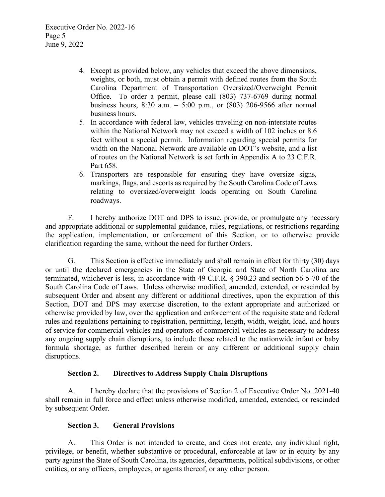- 4. Except as provided below, any vehicles that exceed the above dimensions, weights, or both, must obtain a permit with defined routes from the South Carolina Department of Transportation Oversized/Overweight Permit Office. To order a permit, please call (803) 737-6769 during normal business hours, 8:30 a.m. – 5:00 p.m., or (803) 206-9566 after normal business hours.
- 5. In accordance with federal law, vehicles traveling on non-interstate routes within the National Network may not exceed a width of 102 inches or 8.6 feet without a special permit. Information regarding special permits for width on the National Network are available on DOT's website, and a list of routes on the National Network is set forth in Appendix A to 23 C.F.R. Part 658.
- 6. Transporters are responsible for ensuring they have oversize signs, markings, flags, and escorts as required by the South Carolina Code of Laws relating to oversized/overweight loads operating on South Carolina roadways.

F. I hereby authorize DOT and DPS to issue, provide, or promulgate any necessary and appropriate additional or supplemental guidance, rules, regulations, or restrictions regarding the application, implementation, or enforcement of this Section, or to otherwise provide clarification regarding the same, without the need for further Orders.

G. This Section is effective immediately and shall remain in effect for thirty (30) days or until the declared emergencies in the State of Georgia and State of North Carolina are terminated, whichever is less, in accordance with 49 C.F.R. § 390.23 and section 56-5-70 of the South Carolina Code of Laws. Unless otherwise modified, amended, extended, or rescinded by subsequent Order and absent any different or additional directives, upon the expiration of this Section, DOT and DPS may exercise discretion, to the extent appropriate and authorized or otherwise provided by law, over the application and enforcement of the requisite state and federal rules and regulations pertaining to registration, permitting, length, width, weight, load, and hours of service for commercial vehicles and operators of commercial vehicles as necessary to address any ongoing supply chain disruptions, to include those related to the nationwide infant or baby formula shortage, as further described herein or any different or additional supply chain disruptions.

## **Section 2. Directives to Address Supply Chain Disruptions**

A. I hereby declare that the provisions of Section 2 of Executive Order No. 2021-40 shall remain in full force and effect unless otherwise modified, amended, extended, or rescinded by subsequent Order.

## **Section 3. General Provisions**

A. This Order is not intended to create, and does not create, any individual right, privilege, or benefit, whether substantive or procedural, enforceable at law or in equity by any party against the State of South Carolina, its agencies, departments, political subdivisions, or other entities, or any officers, employees, or agents thereof, or any other person.